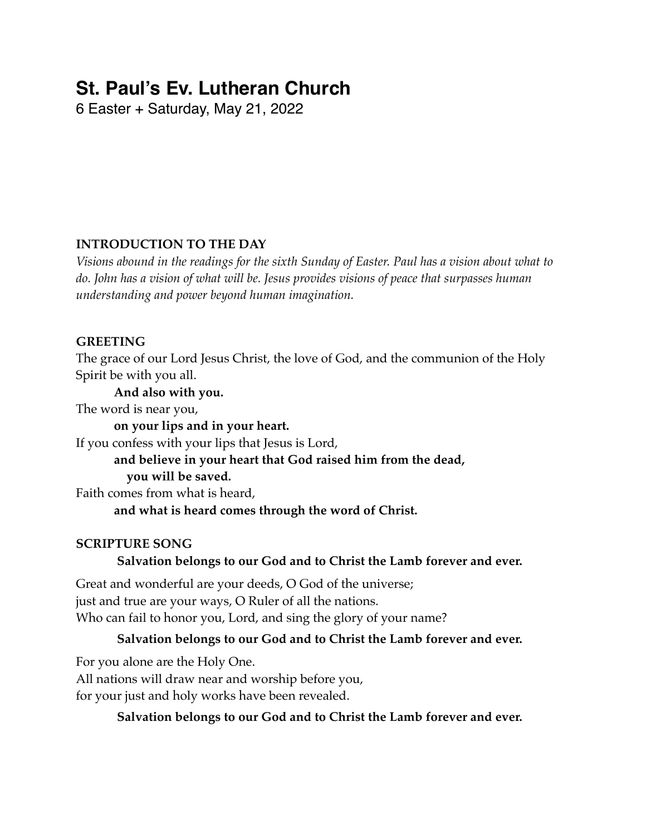# **St. Paul's Ev. Lutheran Church**

6 Easter + Saturday, May 21, 2022

# **INTRODUCTION TO THE DAY**

*Visions abound in the readings for the sixth Sunday of Easter. Paul has a vision about what to do. John has a vision of what will be. Jesus provides visions of peace that surpasses human understanding and power beyond human imagination.*

# **GREETING**

The grace of our Lord Jesus Christ, the love of God, and the communion of the Holy Spirit be with you all.

### **And also with you.**

The word is near you,

**on your lips and in your heart.**

If you confess with your lips that Jesus is Lord,

**and believe in your heart that God raised him from the dead, you will be saved.**

Faith comes from what is heard,

**and what is heard comes through the word of Christ.**

# **SCRIPTURE SONG**

# **Salvation belongs to our God and to Christ the Lamb forever and ever.**

Great and wonderful are your deeds, O God of the universe; just and true are your ways, O Ruler of all the nations. Who can fail to honor you, Lord, and sing the glory of your name?

# **Salvation belongs to our God and to Christ the Lamb forever and ever.**

For you alone are the Holy One. All nations will draw near and worship before you, for your just and holy works have been revealed.

# **Salvation belongs to our God and to Christ the Lamb forever and ever.**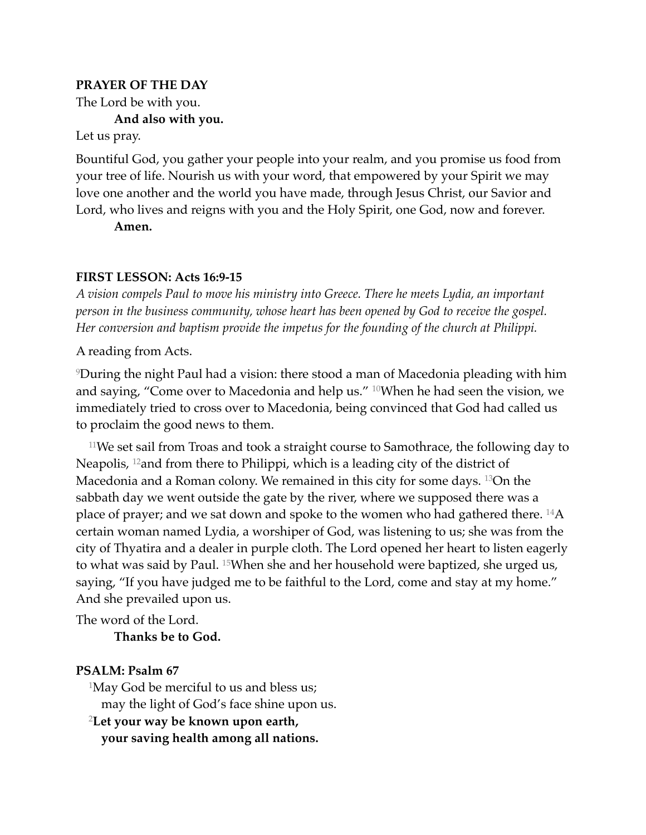#### **PRAYER OF THE DAY**

The Lord be with you.

**And also with you.**

Let us pray.

Bountiful God, you gather your people into your realm, and you promise us food from your tree of life. Nourish us with your word, that empowered by your Spirit we may love one another and the world you have made, through Jesus Christ, our Savior and Lord, who lives and reigns with you and the Holy Spirit, one God, now and forever.

**Amen.**

#### **FIRST LESSON: Acts 16:9-15**

*A vision compels Paul to move his ministry into Greece. There he meets Lydia, an important person in the business community, whose heart has been opened by God to receive the gospel. Her conversion and baptism provide the impetus for the founding of the church at Philippi.*

A reading from Acts.

9During the night Paul had a vision: there stood a man of Macedonia pleading with him and saying, "Come over to Macedonia and help us." 10When he had seen the vision, we immediately tried to cross over to Macedonia, being convinced that God had called us to proclaim the good news to them.

11We set sail from Troas and took a straight course to Samothrace, the following day to Neapolis, 12and from there to Philippi, which is a leading city of the district of Macedonia and a Roman colony. We remained in this city for some days. 13On the sabbath day we went outside the gate by the river, where we supposed there was a place of prayer; and we sat down and spoke to the women who had gathered there. 14A certain woman named Lydia, a worshiper of God, was listening to us; she was from the city of Thyatira and a dealer in purple cloth. The Lord opened her heart to listen eagerly to what was said by Paul. 15When she and her household were baptized, she urged us, saying, "If you have judged me to be faithful to the Lord, come and stay at my home." And she prevailed upon us.

The word of the Lord.

#### **Thanks be to God.**

#### **PSALM: Psalm 67**

1May God be merciful to us and bless us; may the light of God's face shine upon us.

<sup>2</sup>**Let your way be known upon earth,**

**your saving health among all nations.**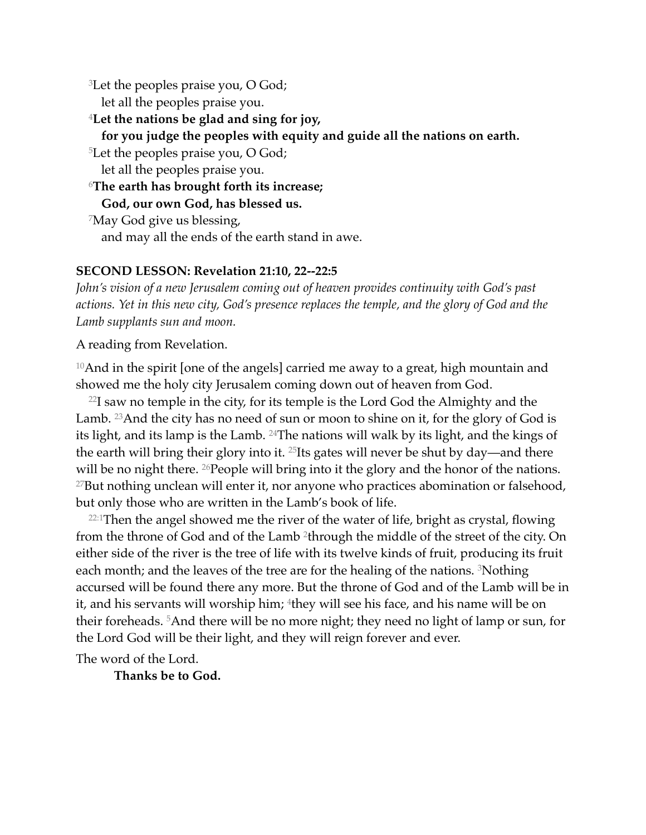3Let the peoples praise you, O God;

let all the peoples praise you.

<sup>4</sup>**Let the nations be glad and sing for joy,**

**for you judge the peoples with equity and guide all the nations on earth.**

5Let the peoples praise you, O God;

let all the peoples praise you.

<sup>6</sup>**The earth has brought forth its increase;**

**God, our own God, has blessed us.**

7May God give us blessing, and may all the ends of the earth stand in awe.

#### **SECOND LESSON: Revelation 21:10, 22--22:5**

*John's vision of a new Jerusalem coming out of heaven provides continuity with God's past actions. Yet in this new city, God's presence replaces the temple, and the glory of God and the Lamb supplants sun and moon.*

A reading from Revelation.

<sup>10</sup>And in the spirit [one of the angels] carried me away to a great, high mountain and showed me the holy city Jerusalem coming down out of heaven from God.

 $22I$  saw no temple in the city, for its temple is the Lord God the Almighty and the Lamb. <sup>23</sup> And the city has no need of sun or moon to shine on it, for the glory of God is its light, and its lamp is the Lamb. 24The nations will walk by its light, and the kings of the earth will bring their glory into it. <sup>25</sup>Its gates will never be shut by day—and there will be no night there. <sup>26</sup> People will bring into it the glory and the honor of the nations.  $27$ But nothing unclean will enter it, nor anyone who practices abomination or falsehood, but only those who are written in the Lamb's book of life.

<sup>22:1</sup>Then the angel showed me the river of the water of life, bright as crystal, flowing from the throne of God and of the Lamb 2through the middle of the street of the city. On either side of the river is the tree of life with its twelve kinds of fruit, producing its fruit each month; and the leaves of the tree are for the healing of the nations. 3Nothing accursed will be found there any more. But the throne of God and of the Lamb will be in it, and his servants will worship him; <sup>4</sup>they will see his face, and his name will be on their foreheads. 5And there will be no more night; they need no light of lamp or sun, for the Lord God will be their light, and they will reign forever and ever.

The word of the Lord.

**Thanks be to God.**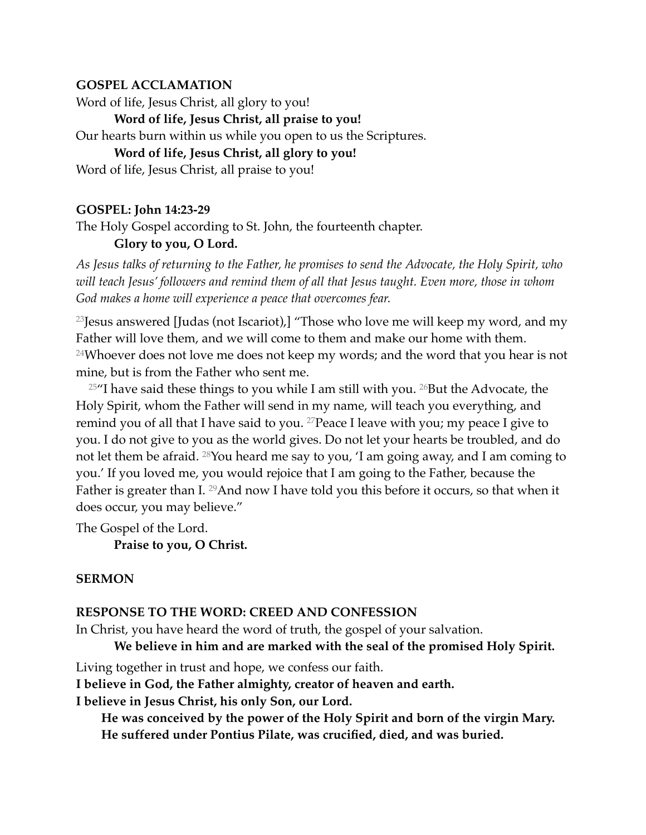### **GOSPEL ACCLAMATION**

Word of life, Jesus Christ, all glory to you!

**Word of life, Jesus Christ, all praise to you!**

Our hearts burn within us while you open to us the Scriptures.

### **Word of life, Jesus Christ, all glory to you!**

Word of life, Jesus Christ, all praise to you!

### **GOSPEL: John 14:23-29**

The Holy Gospel according to St. John, the fourteenth chapter.

### **Glory to you, O Lord.**

*As Jesus talks of returning to the Father, he promises to send the Advocate, the Holy Spirit, who will teach Jesus' followers and remind them of all that Jesus taught. Even more, those in whom God makes a home will experience a peace that overcomes fear.*

<sup>23</sup> Jesus answered [Judas (not Iscariot),] "Those who love me will keep my word, and my Father will love them, and we will come to them and make our home with them. <sup>24</sup>Whoever does not love me does not keep my words; and the word that you hear is not mine, but is from the Father who sent me.

 $25$ "I have said these things to you while I am still with you.  $26$ But the Advocate, the Holy Spirit, whom the Father will send in my name, will teach you everything, and remind you of all that I have said to you.  $27$  Peace I leave with you; my peace I give to you. I do not give to you as the world gives. Do not let your hearts be troubled, and do not let them be afraid. 28You heard me say to you, 'I am going away, and I am coming to you.' If you loved me, you would rejoice that I am going to the Father, because the Father is greater than I. <sup>29</sup>And now I have told you this before it occurs, so that when it does occur, you may believe."

The Gospel of the Lord.

**Praise to you, O Christ.**

# **SERMON**

# **RESPONSE TO THE WORD: CREED AND CONFESSION**

In Christ, you have heard the word of truth, the gospel of your salvation.

**We believe in him and are marked with the seal of the promised Holy Spirit.**

Living together in trust and hope, we confess our faith.

**I believe in God, the Father almighty, creator of heaven and earth.**

**I believe in Jesus Christ, his only Son, our Lord.**

**He was conceived by the power of the Holy Spirit and born of the virgin Mary. He suffered under Pontius Pilate, was crucified, died, and was buried.**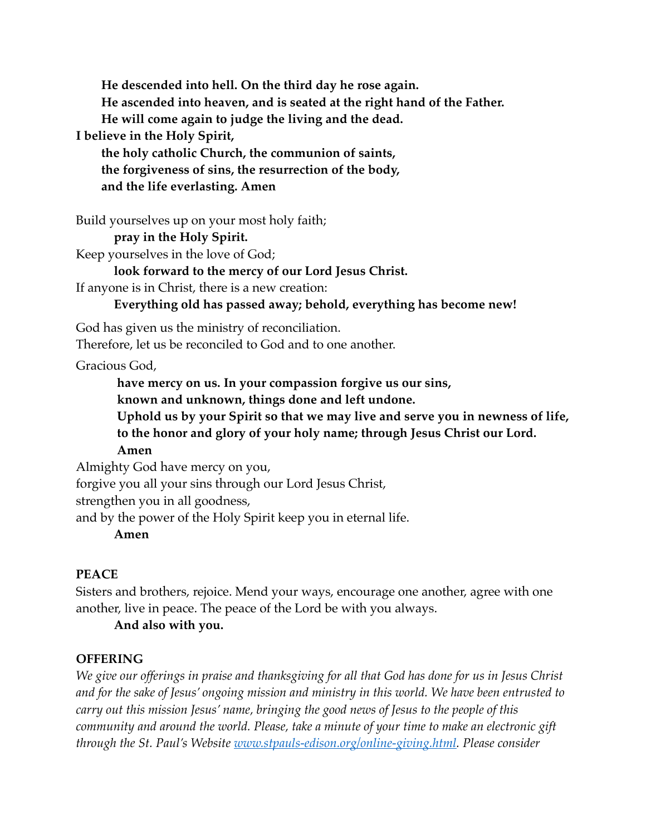**He descended into hell. On the third day he rose again. He ascended into heaven, and is seated at the right hand of the Father. He will come again to judge the living and the dead.**

**I believe in the Holy Spirit,**

**the holy catholic Church, the communion of saints, the forgiveness of sins, the resurrection of the body, and the life everlasting. Amen**

Build yourselves up on your most holy faith;

**pray in the Holy Spirit.**

Keep yourselves in the love of God;

**look forward to the mercy of our Lord Jesus Christ.**

If anyone is in Christ, there is a new creation:

**Everything old has passed away; behold, everything has become new!**

God has given us the ministry of reconciliation.

Therefore, let us be reconciled to God and to one another.

Gracious God,

**have mercy on us. In your compassion forgive us our sins,**

**known and unknown, things done and left undone.**

**Uphold us by your Spirit so that we may live and serve you in newness of life, to the honor and glory of your holy name; through Jesus Christ our Lord.** 

**Amen**

Almighty God have mercy on you,

forgive you all your sins through our Lord Jesus Christ,

strengthen you in all goodness,

and by the power of the Holy Spirit keep you in eternal life.

**Amen**

### **PEACE**

Sisters and brothers, rejoice. Mend your ways, encourage one another, agree with one another, live in peace. The peace of the Lord be with you always.

**And also with you.**

# **OFFERING**

*We give our offerings in praise and thanksgiving for all that God has done for us in Jesus Christ and for the sake of Jesus' ongoing mission and ministry in this world. We have been entrusted to carry out this mission Jesus' name, bringing the good news of Jesus to the people of this community and around the world. Please, take a minute of your time to make an electronic gift through the St. Paul's Website [www.stpauls-edison.org/online-giving.html.](http://www.stpauls-edison.org/online-giving.html) Please consider*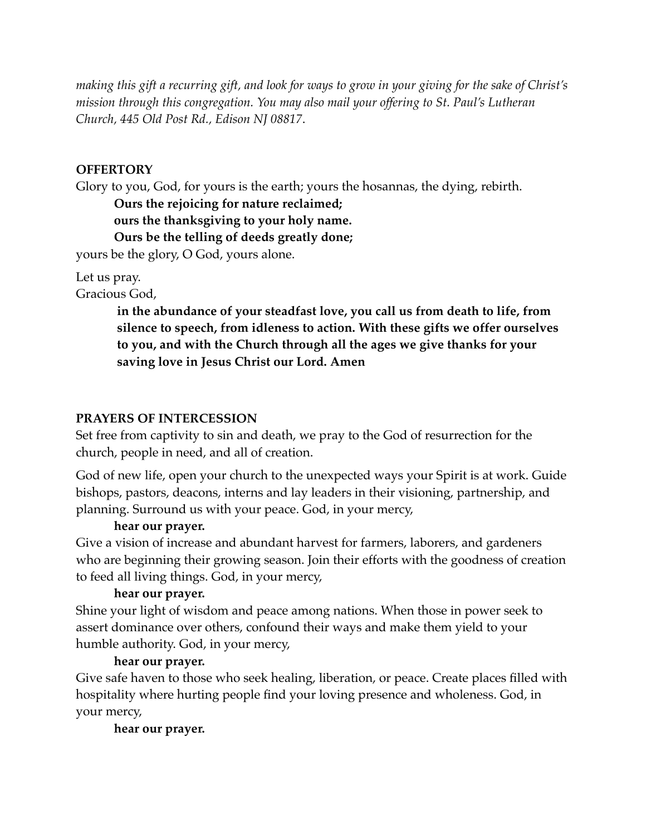*making this gift a recurring gift, and look for ways to grow in your giving for the sake of Christ's mission through this congregation. You may also mail your offering to St. Paul's Lutheran Church, 445 Old Post Rd., Edison NJ 08817*.

#### **OFFERTORY**

Glory to you, God, for yours is the earth; yours the hosannas, the dying, rebirth.

**Ours the rejoicing for nature reclaimed;**

**ours the thanksgiving to your holy name.**

**Ours be the telling of deeds greatly done;**

yours be the glory, O God, yours alone.

Let us pray.

Gracious God,

**in the abundance of your steadfast love, you call us from death to life, from silence to speech, from idleness to action. With these gifts we offer ourselves to you, and with the Church through all the ages we give thanks for your saving love in Jesus Christ our Lord. Amen**

#### **PRAYERS OF INTERCESSION**

Set free from captivity to sin and death, we pray to the God of resurrection for the church, people in need, and all of creation.

God of new life, open your church to the unexpected ways your Spirit is at work. Guide bishops, pastors, deacons, interns and lay leaders in their visioning, partnership, and planning. Surround us with your peace. God, in your mercy,

#### **hear our prayer.**

Give a vision of increase and abundant harvest for farmers, laborers, and gardeners who are beginning their growing season. Join their efforts with the goodness of creation to feed all living things. God, in your mercy,

#### **hear our prayer.**

Shine your light of wisdom and peace among nations. When those in power seek to assert dominance over others, confound their ways and make them yield to your humble authority. God, in your mercy,

#### **hear our prayer.**

Give safe haven to those who seek healing, liberation, or peace. Create places filled with hospitality where hurting people find your loving presence and wholeness. God, in your mercy,

#### **hear our prayer.**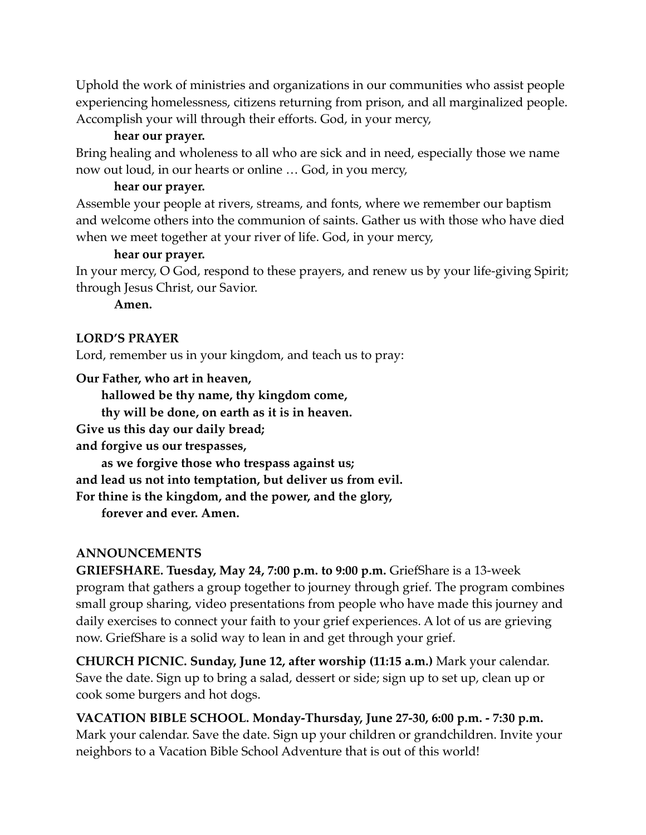Uphold the work of ministries and organizations in our communities who assist people experiencing homelessness, citizens returning from prison, and all marginalized people. Accomplish your will through their efforts. God, in your mercy,

#### **hear our prayer.**

Bring healing and wholeness to all who are sick and in need, especially those we name now out loud, in our hearts or online … God, in you mercy,

#### **hear our prayer.**

Assemble your people at rivers, streams, and fonts, where we remember our baptism and welcome others into the communion of saints. Gather us with those who have died when we meet together at your river of life. God, in your mercy,

#### **hear our prayer.**

In your mercy, O God, respond to these prayers, and renew us by your life-giving Spirit; through Jesus Christ, our Savior.

**Amen.**

#### **LORD'S PRAYER**

Lord, remember us in your kingdom, and teach us to pray:

**Our Father, who art in heaven,**

**hallowed be thy name, thy kingdom come,**

**thy will be done, on earth as it is in heaven.**

**Give us this day our daily bread;**

**and forgive us our trespasses,**

**as we forgive those who trespass against us; and lead us not into temptation, but deliver us from evil. For thine is the kingdom, and the power, and the glory,**

**forever and ever. Amen.**

#### **ANNOUNCEMENTS**

**GRIEFSHARE. Tuesday, May 24, 7:00 p.m. to 9:00 p.m.** GriefShare is a 13-week program that gathers a group together to journey through grief. The program combines small group sharing, video presentations from people who have made this journey and daily exercises to connect your faith to your grief experiences. A lot of us are grieving now. GriefShare is a solid way to lean in and get through your grief.

**CHURCH PICNIC. Sunday, June 12, after worship (11:15 a.m.)** Mark your calendar. Save the date. Sign up to bring a salad, dessert or side; sign up to set up, clean up or cook some burgers and hot dogs.

**VACATION BIBLE SCHOOL. Monday-Thursday, June 27-30, 6:00 p.m. - 7:30 p.m.** Mark your calendar. Save the date. Sign up your children or grandchildren. Invite your neighbors to a Vacation Bible School Adventure that is out of this world!